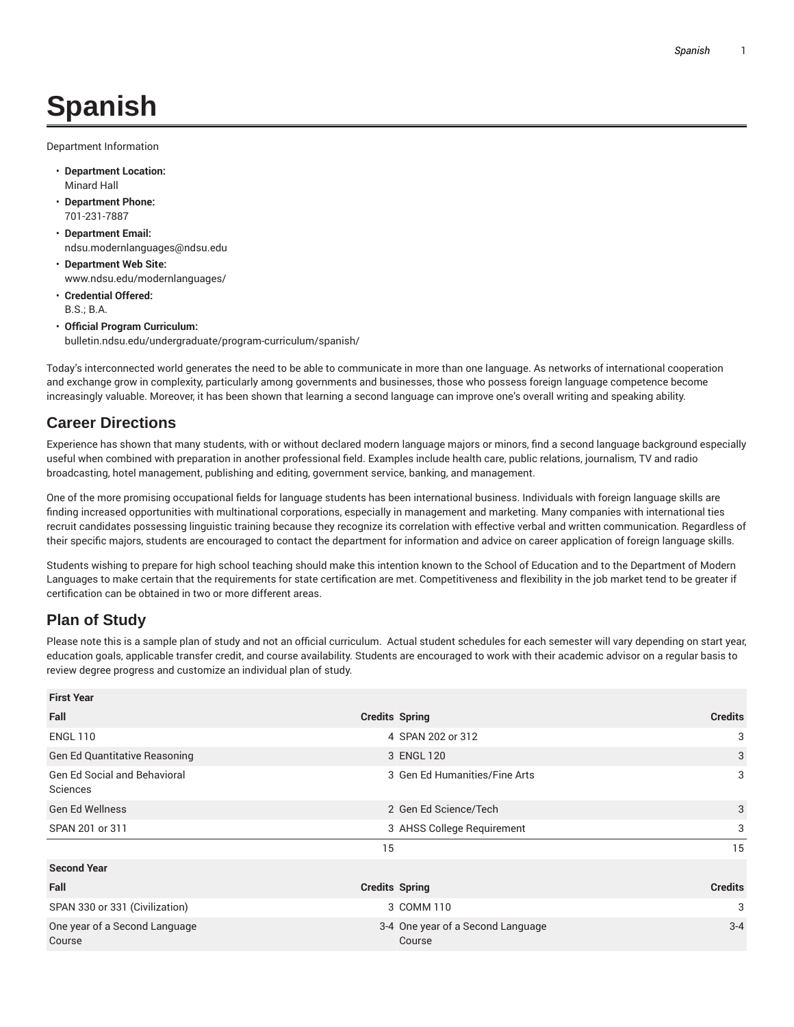## **Spanish**

Department Information

- **Department Location:** Minard Hall
- **Department Phone:** 701-231-7887
- **Department Email:** ndsu.modernlanguages@ndsu.edu
- **Department Web Site:** www.ndsu.edu/modernlanguages/
- **Credential Offered:** B.S.; B.A.
- **Official Program Curriculum:** bulletin.ndsu.edu/undergraduate/program-curriculum/spanish/

Today's interconnected world generates the need to be able to communicate in more than one language. As networks of international cooperation and exchange grow in complexity, particularly among governments and businesses, those who possess foreign language competence become increasingly valuable. Moreover, it has been shown that learning a second language can improve one's overall writing and speaking ability.

## **Career Directions**

Experience has shown that many students, with or without declared modern language majors or minors, find a second language background especially useful when combined with preparation in another professional field. Examples include health care, public relations, journalism, TV and radio broadcasting, hotel management, publishing and editing, government service, banking, and management.

One of the more promising occupational fields for language students has been international business. Individuals with foreign language skills are finding increased opportunities with multinational corporations, especially in management and marketing. Many companies with international ties recruit candidates possessing linguistic training because they recognize its correlation with effective verbal and written communication. Regardless of their specific majors, students are encouraged to contact the department for information and advice on career application of foreign language skills.

Students wishing to prepare for high school teaching should make this intention known to the School of Education and to the Department of Modern Languages to make certain that the requirements for state certification are met. Competitiveness and flexibility in the job market tend to be greater if certification can be obtained in two or more different areas.

## **Plan of Study**

Please note this is a sample plan of study and not an official curriculum. Actual student schedules for each semester will vary depending on start year, education goals, applicable transfer credit, and course availability. Students are encouraged to work with their academic advisor on a regular basis to review degree progress and customize an individual plan of study.

| <b>First Year</b>                               |                                             |                |
|-------------------------------------------------|---------------------------------------------|----------------|
| Fall                                            | <b>Credits Spring</b>                       | <b>Credits</b> |
| <b>ENGL 110</b>                                 | 4 SPAN 202 or 312                           | 3              |
| <b>Gen Ed Quantitative Reasoning</b>            | 3 ENGL 120                                  | 3              |
| <b>Gen Ed Social and Behavioral</b><br>Sciences | 3 Gen Ed Humanities/Fine Arts               | 3              |
| <b>Gen Ed Wellness</b>                          | 2 Gen Ed Science/Tech                       | 3              |
| SPAN 201 or 311                                 | 3 AHSS College Requirement                  | 3              |
|                                                 | 15                                          | 15             |
| <b>Second Year</b>                              |                                             |                |
| Fall                                            | <b>Credits Spring</b>                       | <b>Credits</b> |
| SPAN 330 or 331 (Civilization)                  | 3 COMM 110                                  | 3              |
| One year of a Second Language<br>Course         | 3-4 One year of a Second Language<br>Course | $3 - 4$        |